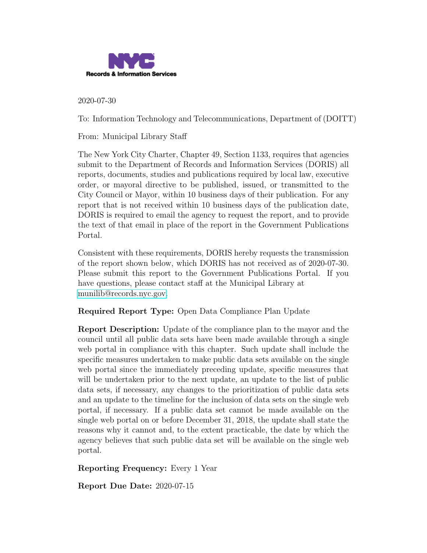

2020-07-30

To: Information Technology and Telecommunications, Department of (DOITT)

From: Municipal Library Staff

The New York City Charter, Chapter 49, Section 1133, requires that agencies submit to the Department of Records and Information Services (DORIS) all reports, documents, studies and publications required by local law, executive order, or mayoral directive to be published, issued, or transmitted to the City Council or Mayor, within 10 business days of their publication. For any report that is not received within 10 business days of the publication date, DORIS is required to email the agency to request the report, and to provide the text of that email in place of the report in the Government Publications Portal.

Consistent with these requirements, DORIS hereby requests the transmission of the report shown below, which DORIS has not received as of 2020-07-30. Please submit this report to the Government Publications Portal. If you have questions, please contact staff at the Municipal Library at [munilib@records.nyc.gov.](mailto:munilib@records.nyc.gov)

Required Report Type: Open Data Compliance Plan Update

Report Description: Update of the compliance plan to the mayor and the council until all public data sets have been made available through a single web portal in compliance with this chapter. Such update shall include the specific measures undertaken to make public data sets available on the single web portal since the immediately preceding update, specific measures that will be undertaken prior to the next update, an update to the list of public data sets, if necessary, any changes to the prioritization of public data sets and an update to the timeline for the inclusion of data sets on the single web portal, if necessary. If a public data set cannot be made available on the single web portal on or before December 31, 2018, the update shall state the reasons why it cannot and, to the extent practicable, the date by which the agency believes that such public data set will be available on the single web portal.

Reporting Frequency: Every 1 Year

Report Due Date: 2020-07-15